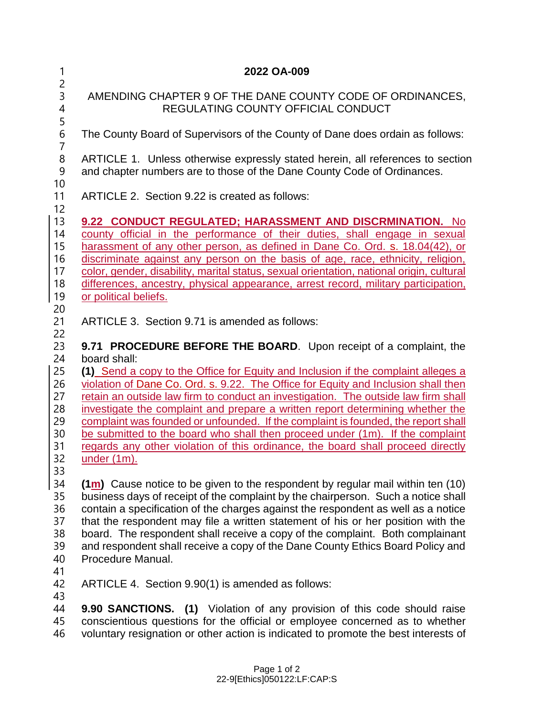| 1                                                  | 2022 OA-009                                                                                                                                                                                                                                                                                                                                                                                                                                                                                                                                                                                                |
|----------------------------------------------------|------------------------------------------------------------------------------------------------------------------------------------------------------------------------------------------------------------------------------------------------------------------------------------------------------------------------------------------------------------------------------------------------------------------------------------------------------------------------------------------------------------------------------------------------------------------------------------------------------------|
| $\overline{c}$<br>3<br>4<br>5                      | AMENDING CHAPTER 9 OF THE DANE COUNTY CODE OF ORDINANCES,<br>REGULATING COUNTY OFFICIAL CONDUCT                                                                                                                                                                                                                                                                                                                                                                                                                                                                                                            |
| 6<br>$\overline{7}$                                | The County Board of Supervisors of the County of Dane does ordain as follows:                                                                                                                                                                                                                                                                                                                                                                                                                                                                                                                              |
| 8<br>9<br>10                                       | ARTICLE 1. Unless otherwise expressly stated herein, all references to section<br>and chapter numbers are to those of the Dane County Code of Ordinances.                                                                                                                                                                                                                                                                                                                                                                                                                                                  |
| 11<br>12                                           | ARTICLE 2. Section 9.22 is created as follows:                                                                                                                                                                                                                                                                                                                                                                                                                                                                                                                                                             |
| 13<br>14<br>15<br>16<br>17<br>18<br>19<br>20       | 9.22 CONDUCT REGULATED; HARASSMENT AND DISCRMINATION. No<br>county official in the performance of their duties, shall engage in sexual<br>harassment of any other person, as defined in Dane Co. Ord. s. 18.04(42), or<br>discriminate against any person on the basis of age, race, ethnicity, religion,<br>color, gender, disability, marital status, sexual orientation, national origin, cultural<br>differences, ancestry, physical appearance, arrest record, military participation,<br>or political beliefs.                                                                                       |
| 21                                                 | ARTICLE 3. Section 9.71 is amended as follows:                                                                                                                                                                                                                                                                                                                                                                                                                                                                                                                                                             |
| 22<br>23<br>24<br>25<br>26<br>27<br>28<br>29<br>30 | 9.71 PROCEDURE BEFORE THE BOARD. Upon receipt of a complaint, the<br>board shall:<br>(1) Send a copy to the Office for Equity and Inclusion if the complaint alleges a<br>violation of Dane Co. Ord. s. 9.22. The Office for Equity and Inclusion shall then<br>retain an outside law firm to conduct an investigation. The outside law firm shall<br>investigate the complaint and prepare a written report determining whether the<br>complaint was founded or unfounded. If the complaint is founded, the report shall<br>be submitted to the board who shall then proceed under (1m). If the complaint |
| 31<br>32                                           | regards any other violation of this ordinance, the board shall proceed directly<br>under $(1m)$ .                                                                                                                                                                                                                                                                                                                                                                                                                                                                                                          |
| 33<br>34<br>35<br>36<br>37<br>38<br>39<br>40<br>41 | $(1m)$ Cause notice to be given to the respondent by regular mail within ten (10)<br>business days of receipt of the complaint by the chairperson. Such a notice shall<br>contain a specification of the charges against the respondent as well as a notice<br>that the respondent may file a written statement of his or her position with the<br>board. The respondent shall receive a copy of the complaint. Both complainant<br>and respondent shall receive a copy of the Dane County Ethics Board Policy and<br>Procedure Manual.                                                                    |
| 42                                                 | ARTICLE 4. Section 9.90(1) is amended as follows:                                                                                                                                                                                                                                                                                                                                                                                                                                                                                                                                                          |
| 43<br>44<br>45                                     | 9.90 SANCTIONS. (1) Violation of any provision of this code should raise<br>conscientious questions for the official or employee concerned as to whether                                                                                                                                                                                                                                                                                                                                                                                                                                                   |

voluntary resignation or other action is indicated to promote the best interests of